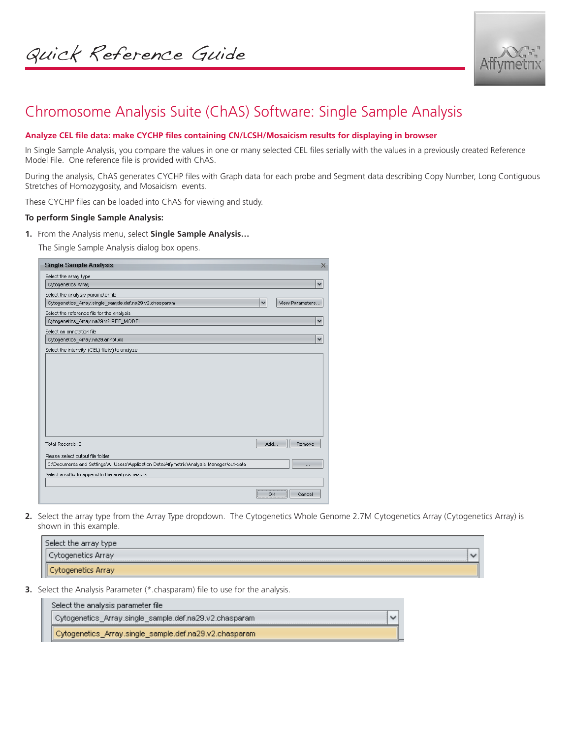

# Chromosome Analysis Suite (ChAS) Software: Single Sample Analysis

## **Analyze CEL file data: make CYCHP files containing CN/LCSH/Mosaicism results for displaying in browser**

In Single Sample Analysis, you compare the values in one or many selected CEL files serially with the values in a previously created Reference Model File. One reference file is provided with ChAS.

During the analysis, ChAS generates CYCHP files with Graph data for each probe and Segment data describing Copy Number, Long Contiguous Stretches of Homozygosity, and Mosaicism events.

These CYCHP files can be loaded into ChAS for viewing and study.

#### **To perform Single Sample Analysis:**

**1.** From the Analysis menu, select **Single Sample Analysis…**

The Single Sample Analysis dialog box opens.

| <b>Single Sample Analysis</b>                                                             |              |                 | $\times$     |
|-------------------------------------------------------------------------------------------|--------------|-----------------|--------------|
| Select the array type                                                                     |              |                 |              |
| Cytogenetics Array                                                                        |              |                 | v            |
| Select the analysis parameter file                                                        |              |                 |              |
| Cytogenetics_Array.single_sample.def.na29.v2.chasparam                                    | $\checkmark$ | View Parameters |              |
| Select the reference file for the analysis                                                |              |                 |              |
| Cytogenetics_Array.na29.v2.REF_MODEL                                                      |              |                 | $\checkmark$ |
| Select an annotation file                                                                 |              |                 |              |
| Cytogenetics_Array.na29.annot.db                                                          |              |                 | v            |
| Select the intensity (CEL) file(s) to analyze                                             |              |                 |              |
|                                                                                           |              |                 |              |
|                                                                                           |              |                 |              |
|                                                                                           |              |                 |              |
|                                                                                           |              |                 |              |
|                                                                                           |              |                 |              |
|                                                                                           |              |                 |              |
|                                                                                           |              |                 |              |
|                                                                                           |              |                 |              |
|                                                                                           |              |                 |              |
| Total Records: 0                                                                          | Add          | Remove          |              |
| Please select output file folder                                                          |              |                 |              |
| C:\Documents and Settings\All Users\Application Data\Affymetrix\Analysis Manager\out-data |              | $\cdots$        |              |
| Select a suffix to append to the analysis results                                         |              |                 |              |
|                                                                                           |              |                 |              |
|                                                                                           | ОK           | Cancel          |              |

**2.** Select the array type from the Array Type dropdown. The Cytogenetics Whole Genome 2.7M Cytogenetics Array (Cytogenetics Array) is shown in this example.

| Select the array type |              |
|-----------------------|--------------|
| Cytogenetics Array    | $\checkmark$ |
| Cytogenetics Array    |              |

**3.** Select the Analysis Parameter (\*.chasparam) file to use for the analysis.

| Select the analysis parameter file /                   |  |
|--------------------------------------------------------|--|
| Cytogenetics Array.single sample.def.na29.v2.chasparam |  |
| Cytogenetics_Array.single_sample.def.na29.v2.chasparam |  |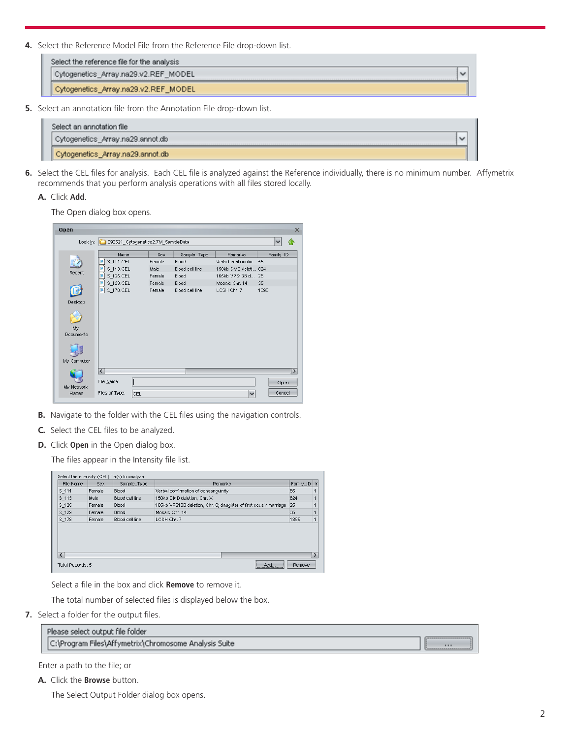**4.** Select the Reference Model File from the Reference File drop-down list.

**5.** Select an annotation file from the Annotation File drop-down list.

| Select an annotation file        |  |
|----------------------------------|--|
| Cytogenetics_Array.na29.annot.db |  |
| Cytogenetics_Array.na29.annot.db |  |

**6.** Select the CEL files for analysis. Each CEL file is analyzed against the Reference individually, there is no minimum number. Affymetrix recommends that you perform analysis operations with all files stored locally.

### **A.** Click **Add**.

The Open dialog box opens.

| Open<br>$\times$ |                                    |        |                 |                       |               |
|------------------|------------------------------------|--------|-----------------|-----------------------|---------------|
| Look In:         | 090521_Cytogenetics2.7M_SampleData |        |                 |                       |               |
|                  | Name                               | Sex    | Sample_Type     | Remarks               | Family_ID     |
|                  | S_111.CEL                          | Female | Blood           | Verbal confirmatio 55 |               |
| Recent           | S 113.CEL                          | Male   | Blood cell line | 150kb DMD deleti 824  |               |
|                  | S_125.CEL                          | Female | Blood           | 165kb VPS13B d 25     |               |
|                  | S_129.CEL                          | Female | Blood           | Mosaic Chr. 14        | 35            |
|                  | S 178.CEL<br>g.                    | Female | Blood cell line | LCSH Chr. 7           | 1395          |
| Desktop          |                                    |        |                 |                       |               |
|                  |                                    |        |                 |                       |               |
|                  |                                    |        |                 |                       |               |
|                  |                                    |        |                 |                       |               |
| My               |                                    |        |                 |                       |               |
| Documents        |                                    |        |                 |                       |               |
|                  |                                    |        |                 |                       |               |
| My Computer      |                                    |        |                 |                       |               |
|                  | $\left\langle \right\rangle$       |        |                 |                       | $\rightarrow$ |
|                  |                                    |        |                 |                       |               |
| My Network       | File Name:                         |        |                 |                       | Open          |
| Places           | Files of Type:<br>CEL              |        |                 | $\checkmark$          | Cancel        |
|                  |                                    |        |                 |                       |               |

- **B.** Navigate to the folder with the CEL files using the navigation controls.
- **C.** Select the CEL files to be analyzed.
- **D.** Click **Open** in the Open dialog box.

The files appear in the Intensity file list.

| File Name        | Sex    | Sample Type     | Remarks                                                          | Family ID | l Iri |
|------------------|--------|-----------------|------------------------------------------------------------------|-----------|-------|
| $S_1$ 111        | Female | Blood           | Verbal confirmation of consanguinity                             | 55        |       |
| $S_1$ 113        | Male   | Blood cell line | 824<br>150kb DMD deletion, Chr. X                                |           |       |
| $S_125$          | Female | Blood           | 165kb VPS13B deletion, Chr. 8; daughter of first cousin marriage | 25        |       |
| $S_129$          | Female | Blood           | Mosaic Chr. 14                                                   | 35        |       |
| S <sub>178</sub> | Female | Blood cell line | LCSH Chr. 7                                                      | 1395      |       |
|                  |        |                 |                                                                  |           |       |
|                  |        |                 |                                                                  |           |       |

Select a file in the box and click **Remove** to remove it.

The total number of selected files is displayed below the box.

**7.** Select a folder for the output files.

| Please select output file folder                      |  |
|-------------------------------------------------------|--|
| C:\Program Files\Affymetrix\Chromosome Analysis Suite |  |

Enter a path to the file; or

**A.** Click the **Browse** button.

The Select Output Folder dialog box opens.